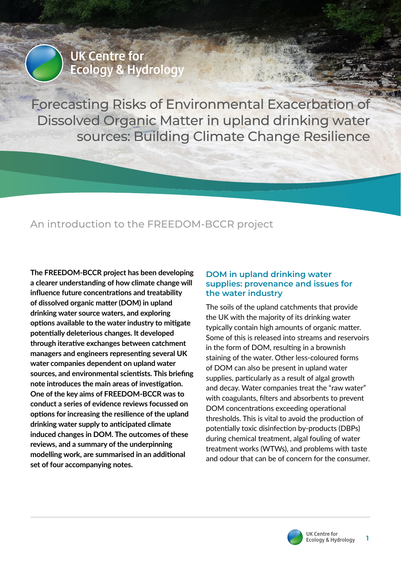**UK Centre for Ecology & Hydrology** 

Forecasting Risks of Environmental Exacerbation of Dissolved Organic Matter in upland drinking water sources: Building Climate Change Resilience

# An introduction to the FREEDOM-BCCR project

**The FREEDOM-BCCR project has been developing a clearer understanding of how climate change will influence future concentrations and treatability of dissolved organic matter (DOM) in upland drinking water source waters, and exploring options available to the water industry to mitigate potentially deleterious changes. It developed through iterative exchanges between catchment managers and engineers representing several UK water companies dependent on upland water sources, and environmental scientists. This briefing note introduces the main areas of investigation. One of the key aims of FREEDOM-BCCR was to conduct a series of evidence reviews focussed on options for increasing the resilience of the upland drinking water supply to anticipated climate induced changes in DOM. The outcomes of these reviews, and a summary of the underpinning modelling work, are summarised in an additional set of four accompanying notes.**

## **DOM in upland drinking water supplies: provenance and issues for the water industry**

The soils of the upland catchments that provide the UK with the majority of its drinking water typically contain high amounts of organic matter. Some of this is released into streams and reservoirs in the form of DOM, resulting in a brownish staining of the water. Other less‑coloured forms of DOM can also be present in upland water supplies, particularly as a result of algal growth and decay. Water companies treat the "raw water" with coagulants, filters and absorbents to prevent DOM concentrations exceeding operational thresholds. This is vital to avoid the production of potentially toxic disinfection by-products (DBPs) during chemical treatment, algal fouling of water treatment works (WTWs), and problems with taste and odour that can be of concern for the consumer.

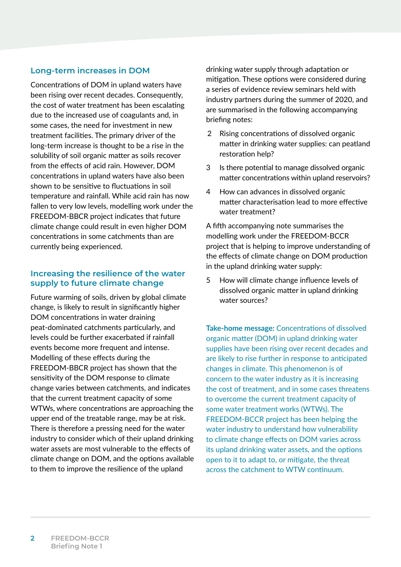## **Long-term increases in DOM**

Concentrations of DOM in upland waters have been rising over recent decades. Consequently, the cost of water treatment has been escalating due to the increased use of coagulants and, in some cases, the need for investment in new treatment facilities. The primary driver of the long-term increase is thought to be a rise in the solubility of soil organic matter as soils recover from the effects of acid rain. However, DOM concentrations in upland waters have also been shown to be sensitive to fluctuations in soil temperature and rainfall. While acid rain has now fallen to very low levels, modelling work under the FREEDOM-BBCR project indicates that future climate change could result in even higher DOM concentrations in some catchments than are currently being experienced.

### **Increasing the resilience of the water supply to future climate change**

Future warming of soils, driven by global climate change, is likely to result in significantly higher DOM concentrations in water draining peat-dominated catchments particularly, and levels could be further exacerbated if rainfall events become more frequent and intense. Modelling of these effects during the FREEDOM-BBCR project has shown that the sensitivity of the DOM response to climate change varies between catchments, and indicates that the current treatment capacity of some WTWs, where concentrations are approaching the upper end of the treatable range, may be at risk. There is therefore a pressing need for the water industry to consider which of their upland drinking water assets are most vulnerable to the effects of climate change on DOM, and the options available to them to improve the resilience of the upland

drinking water supply through adaptation or mitigation. These options were considered during a series of evidence review seminars held with industry partners during the summer of 2020, and are summarised in the following accompanying briefing notes:

- 2 Rising concentrations of dissolved organic matter in drinking water supplies: can peatland restoration help?
- 3 Is there potential to manage dissolved organic matter concentrations within upland reservoirs?
- 4 How can advances in dissolved organic matter characterisation lead to more effective water treatment?

A fifth accompanying note summarises the modelling work under the FREEDOM-BCCR project that is helping to improve understanding of the effects of climate change on DOM production in the upland drinking water supply:

5 How will climate change influence levels of dissolved organic matter in upland drinking water sources?

**Take-home message:** Concentrations of dissolved organic matter (DOM) in upland drinking water supplies have been rising over recent decades and are likely to rise further in response to anticipated changes in climate. This phenomenon is of concern to the water industry as it is increasing the cost of treatment, and in some cases threatens to overcome the current treatment capacity of some water treatment works (WTWs). The FREEDOM-BCCR project has been helping the water industry to understand how vulnerability to climate change effects on DOM varies across its upland drinking water assets, and the options open to it to adapt to, or mitigate, the threat across the catchment to WTW continuum.